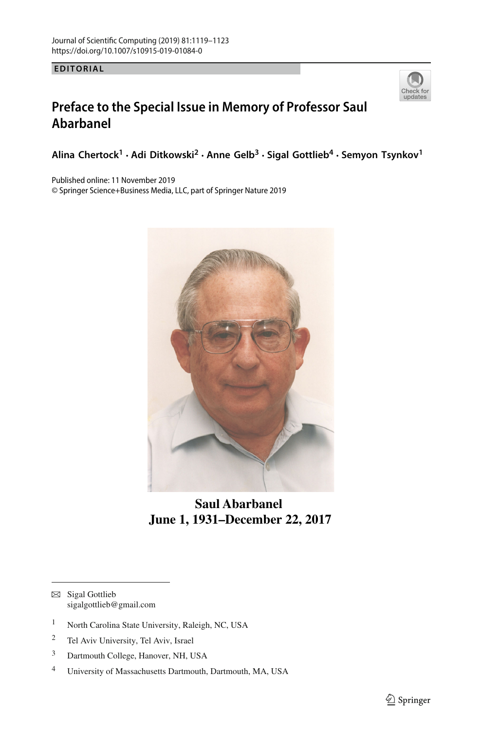**EDITORIAL**



## **Preface to the Special Issue in Memory of Professor Saul Abarbanel**

**Alina Chertock1 · Adi Ditkowski2 · Anne Gelb<sup>3</sup> · Sigal Gottlieb4 · Semyon Tsynkov<sup>1</sup>**

Published online: 11 November 2019

© Springer Science+Business Media, LLC, part of Springer Nature 2019



 **Saul Abarbanel June 1, 1931–December 22, 2017**

- $\boxtimes$  Sigal Gottlieb sigalgottlieb@gmail.com
- <sup>1</sup> North Carolina State University, Raleigh, NC, USA
- <sup>2</sup> Tel Aviv University, Tel Aviv, Israel
- <sup>3</sup> Dartmouth College, Hanover, NH, USA
- <sup>4</sup> University of Massachusetts Dartmouth, Dartmouth, MA, USA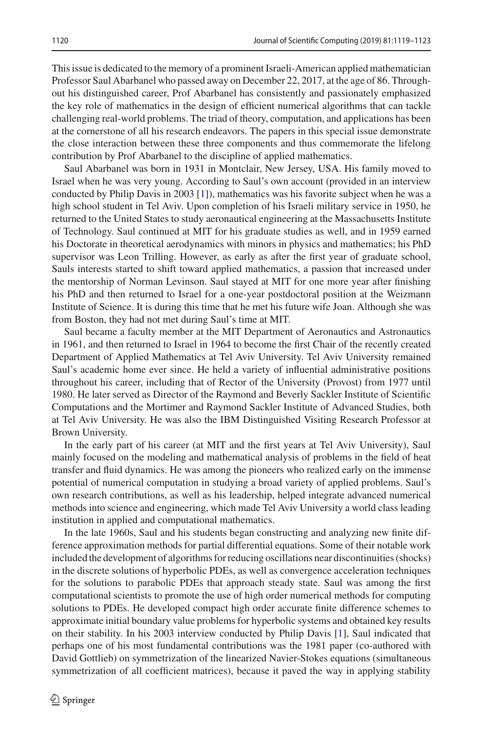This issue is dedicated to the memory of a prominent Israeli-American applied mathematician Professor Saul Abarbanel who passed away on December 22, 2017, at the age of 86. Throughout his distinguished career, Prof Abarbanel has consistently and passionately emphasized the key role of mathematics in the design of efficient numerical algorithms that can tackle challenging real-world problems. The triad of theory, computation, and applications has been at the cornerstone of all his research endeavors. The papers in this special issue demonstrate the close interaction between these three components and thus commemorate the lifelong contribution by Prof Abarbanel to the discipline of applied mathematics.

Saul Abarbanel was born in 1931 in Montclair, New Jersey, USA. His family moved to Israel when he was very young. According to Saul's own account (provided in an interview conducted by Philip Davis in 2003 [\[1](#page-3-0)]), mathematics was his favorite subject when he was a high school student in Tel Aviv. Upon completion of his Israeli military service in 1950, he returned to the United States to study aeronautical engineering at the Massachusetts Institute of Technology. Saul continued at MIT for his graduate studies as well, and in 1959 earned his Doctorate in theoretical aerodynamics with minors in physics and mathematics; his PhD supervisor was Leon Trilling. However, as early as after the first year of graduate school, Sauls interests started to shift toward applied mathematics, a passion that increased under the mentorship of Norman Levinson. Saul stayed at MIT for one more year after finishing his PhD and then returned to Israel for a one-year postdoctoral position at the Weizmann Institute of Science. It is during this time that he met his future wife Joan. Although she was from Boston, they had not met during Saul's time at MIT.

Saul became a faculty member at the MIT Department of Aeronautics and Astronautics in 1961, and then returned to Israel in 1964 to become the first Chair of the recently created Department of Applied Mathematics at Tel Aviv University. Tel Aviv University remained Saul's academic home ever since. He held a variety of influential administrative positions throughout his career, including that of Rector of the University (Provost) from 1977 until 1980. He later served as Director of the Raymond and Beverly Sackler Institute of Scientific Computations and the Mortimer and Raymond Sackler Institute of Advanced Studies, both at Tel Aviv University. He was also the IBM Distinguished Visiting Research Professor at Brown University.

In the early part of his career (at MIT and the first years at Tel Aviv University), Saul mainly focused on the modeling and mathematical analysis of problems in the field of heat transfer and fluid dynamics. He was among the pioneers who realized early on the immense potential of numerical computation in studying a broad variety of applied problems. Saul's own research contributions, as well as his leadership, helped integrate advanced numerical methods into science and engineering, which made Tel Aviv University a world class leading institution in applied and computational mathematics.

In the late 1960s, Saul and his students began constructing and analyzing new finite difference approximation methods for partial differential equations. Some of their notable work included the development of algorithms for reducing oscillations near discontinuities (shocks) in the discrete solutions of hyperbolic PDEs, as well as convergence acceleration techniques for the solutions to parabolic PDEs that approach steady state. Saul was among the first computational scientists to promote the use of high order numerical methods for computing solutions to PDEs. He developed compact high order accurate finite difference schemes to approximate initial boundary value problems for hyperbolic systems and obtained key results on their stability. In his 2003 interview conducted by Philip Davis [\[1\]](#page-3-0), Saul indicated that perhaps one of his most fundamental contributions was the 1981 paper (co-authored with David Gottlieb) on symmetrization of the linearized Navier-Stokes equations (simultaneous symmetrization of all coefficient matrices), because it paved the way in applying stability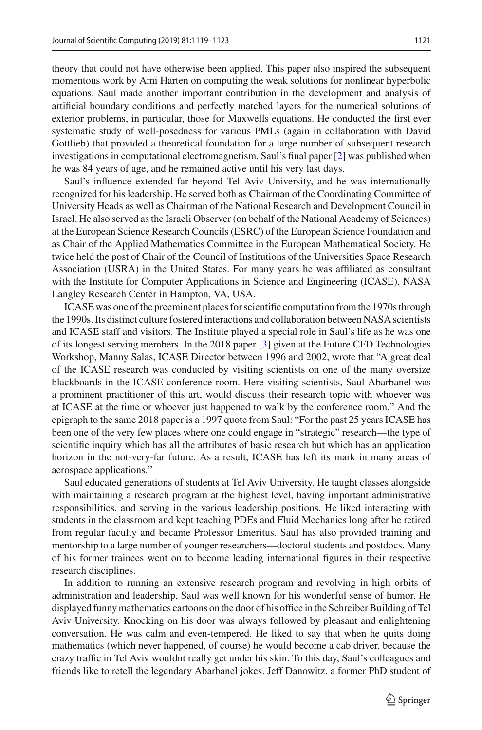theory that could not have otherwise been applied. This paper also inspired the subsequent momentous work by Ami Harten on computing the weak solutions for nonlinear hyperbolic equations. Saul made another important contribution in the development and analysis of artificial boundary conditions and perfectly matched layers for the numerical solutions of exterior problems, in particular, those for Maxwells equations. He conducted the first ever systematic study of well-posedness for various PMLs (again in collaboration with David Gottlieb) that provided a theoretical foundation for a large number of subsequent research investigations in computational electromagnetism. Saul's final paper [\[2](#page-3-1)] was published when he was 84 years of age, and he remained active until his very last days.

Saul's influence extended far beyond Tel Aviv University, and he was internationally recognized for his leadership. He served both as Chairman of the Coordinating Committee of University Heads as well as Chairman of the National Research and Development Council in Israel. He also served as the Israeli Observer (on behalf of the National Academy of Sciences) at the European Science Research Councils (ESRC) of the European Science Foundation and as Chair of the Applied Mathematics Committee in the European Mathematical Society. He twice held the post of Chair of the Council of Institutions of the Universities Space Research Association (USRA) in the United States. For many years he was affiliated as consultant with the Institute for Computer Applications in Science and Engineering (ICASE), NASA Langley Research Center in Hampton, VA, USA.

ICASE was one of the preeminent places for scientific computation from the 1970s through the 1990s. Its distinct culture fostered interactions and collaboration between NASA scientists and ICASE staff and visitors. The Institute played a special role in Saul's life as he was one of its longest serving members. In the 2018 paper [\[3\]](#page-3-2) given at the Future CFD Technologies Workshop, Manny Salas, ICASE Director between 1996 and 2002, wrote that "A great deal of the ICASE research was conducted by visiting scientists on one of the many oversize blackboards in the ICASE conference room. Here visiting scientists, Saul Abarbanel was a prominent practitioner of this art, would discuss their research topic with whoever was at ICASE at the time or whoever just happened to walk by the conference room." And the epigraph to the same 2018 paper is a 1997 quote from Saul: "For the past 25 years ICASE has been one of the very few places where one could engage in "strategic" research—the type of scientific inquiry which has all the attributes of basic research but which has an application horizon in the not-very-far future. As a result, ICASE has left its mark in many areas of aerospace applications."

Saul educated generations of students at Tel Aviv University. He taught classes alongside with maintaining a research program at the highest level, having important administrative responsibilities, and serving in the various leadership positions. He liked interacting with students in the classroom and kept teaching PDEs and Fluid Mechanics long after he retired from regular faculty and became Professor Emeritus. Saul has also provided training and mentorship to a large number of younger researchers—doctoral students and postdocs. Many of his former trainees went on to become leading international figures in their respective research disciplines.

In addition to running an extensive research program and revolving in high orbits of administration and leadership, Saul was well known for his wonderful sense of humor. He displayed funny mathematics cartoons on the door of his office in the Schreiber Building of Tel Aviv University. Knocking on his door was always followed by pleasant and enlightening conversation. He was calm and even-tempered. He liked to say that when he quits doing mathematics (which never happened, of course) he would become a cab driver, because the crazy traffic in Tel Aviv wouldnt really get under his skin. To this day, Saul's colleagues and friends like to retell the legendary Abarbanel jokes. Jeff Danowitz, a former PhD student of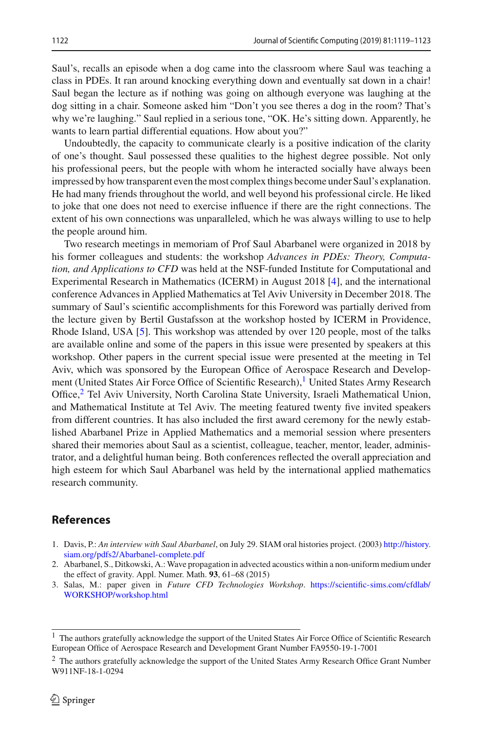Saul's, recalls an episode when a dog came into the classroom where Saul was teaching a class in PDEs. It ran around knocking everything down and eventually sat down in a chair! Saul began the lecture as if nothing was going on although everyone was laughing at the dog sitting in a chair. Someone asked him "Don't you see theres a dog in the room? That's why we're laughing." Saul replied in a serious tone, "OK. He's sitting down. Apparently, he wants to learn partial differential equations. How about you?"

Undoubtedly, the capacity to communicate clearly is a positive indication of the clarity of one's thought. Saul possessed these qualities to the highest degree possible. Not only his professional peers, but the people with whom he interacted socially have always been impressed by how transparent even the most complex things become under Saul's explanation. He had many friends throughout the world, and well beyond his professional circle. He liked to joke that one does not need to exercise influence if there are the right connections. The extent of his own connections was unparalleled, which he was always willing to use to help the people around him.

Two research meetings in memoriam of Prof Saul Abarbanel were organized in 2018 by his former colleagues and students: the workshop *Advances in PDEs: Theory, Computation, and Applications to CFD* was held at the NSF-funded Institute for Computational and Experimental Research in Mathematics (ICERM) in August 2018 [\[4\]](#page-4-0), and the international conference Advances in Applied Mathematics at Tel Aviv University in December 2018. The summary of Saul's scientific accomplishments for this Foreword was partially derived from the lecture given by Bertil Gustafsson at the workshop hosted by ICERM in Providence, Rhode Island, USA [\[5](#page-4-1)]. This workshop was attended by over 120 people, most of the talks are available online and some of the papers in this issue were presented by speakers at this workshop. Other papers in the current special issue were presented at the meeting in Tel Aviv, which was sponsored by the European Office of Aerospace Research and Development (United States Air Force Office of Scientific Research), $\frac{1}{1}$  United States Army Research Office,<sup>[2](#page-3-4)</sup> Tel Aviv University, North Carolina State University, Israeli Mathematical Union, and Mathematical Institute at Tel Aviv. The meeting featured twenty five invited speakers from different countries. It has also included the first award ceremony for the newly established Abarbanel Prize in Applied Mathematics and a memorial session where presenters shared their memories about Saul as a scientist, colleague, teacher, mentor, leader, administrator, and a delightful human being. Both conferences reflected the overall appreciation and high esteem for which Saul Abarbanel was held by the international applied mathematics research community.

## **References**

- <span id="page-3-0"></span>1. Davis, P.: *An interview with Saul Abarbanel*, on July 29. SIAM oral histories project. (2003) [http://history.](http://history.siam.org/pdfs2/Abarbanel-complete.pdf) [siam.org/pdfs2/Abarbanel-complete.pdf](http://history.siam.org/pdfs2/Abarbanel-complete.pdf)
- <span id="page-3-1"></span>2. Abarbanel, S., Ditkowski, A.: Wave propagation in advected acoustics within a non-uniform medium under the effect of gravity. Appl. Numer. Math. **93**, 61–68 (2015)
- <span id="page-3-2"></span>3. Salas, M.: paper given in *Future CFD Technologies Workshop*. [https://scientific-sims.com/cfdlab/](https://scientific-sims.com/cfdlab/WORKSHOP/workshop.html) [WORKSHOP/workshop.html](https://scientific-sims.com/cfdlab/WORKSHOP/workshop.html)

<span id="page-3-3"></span><sup>1</sup> The authors gratefully acknowledge the support of the United States Air Force Office of Scientific Research European Office of Aerospace Research and Development Grant Number FA9550-19-1-7001

<span id="page-3-4"></span><sup>2</sup> The authors gratefully acknowledge the support of the United States Army Research Office Grant Number W911NF-18-1-0294